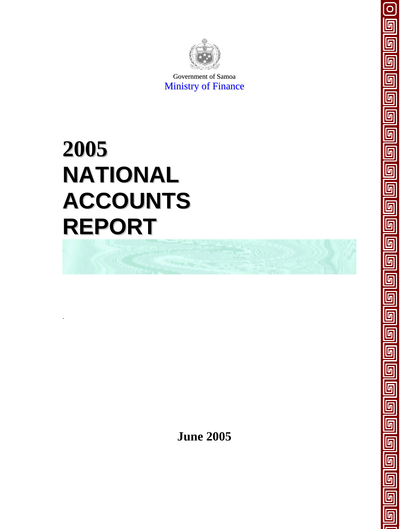

 $\Omega$ 

<u>ل</u>

 $\overline{\mathsf{F}}$ 

<u>ն</u>

Government of Samoa Ministry of Finance

# **2005 NATIONAL ACCOUNTS REPORT**

.



**June 2005**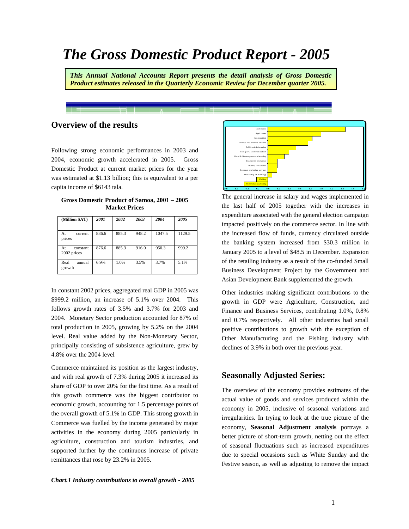# *The Gross Domestic Product Report - 2005*

*This Annual National Accounts Report presents the detail analysis of Gross Domestic Product estimates released in the Quarterly Economic Review for December quarter 2005.* 

# **Overview of the results**

Following strong economic performances in 2003 and 2004, economic growth accelerated in 2005. Gross Domestic Product at current market prices for the year was estimated at \$1.13 billion; this is equivalent to a per capita income of \$6143 tala.

| Gross Domestic Product of Samoa, 2001 – 2005          |  |                      |  |  |      |  |  |  |  |  |  |  |  |  |
|-------------------------------------------------------|--|----------------------|--|--|------|--|--|--|--|--|--|--|--|--|
|                                                       |  | <b>Market Prices</b> |  |  |      |  |  |  |  |  |  |  |  |  |
| $\alpha$ cutan $\beta$ AT   2007   2002   2002   2004 |  |                      |  |  | 2005 |  |  |  |  |  |  |  |  |  |

| (Million SAT)                 | 2001  | 2002  | 2003  | 2004   | 2005   |
|-------------------------------|-------|-------|-------|--------|--------|
| At<br>current<br>prices       | 836.6 | 885.3 | 948.2 | 1047.5 | 1129.5 |
| At<br>constant<br>2002 prices | 876.6 | 885.3 | 916.0 | 950.3  | 999.2  |
| Real<br>annual<br>growth      | 6.9%  | 1.0%  | 3.5%  | 3.7%   | 5.1%   |

In constant 2002 prices, aggregated real GDP in 2005 was \$999.2 million, an increase of 5.1% over 2004. This follows growth rates of 3.5% and 3.7% for 2003 and 2004. Monetary Sector production accounted for 87% of total production in 2005, growing by 5.2% on the 2004 level. Real value added by the Non-Monetary Sector, principally consisting of subsistence agriculture, grew by 4.8% over the 2004 level

Commerce maintained its position as the largest industry, and with real growth of 7.3% during 2005 it increased its share of GDP to over 20% for the first time. As a result of this growth commerce was the biggest contributor to economic growth, accounting for 1.5 percentage points of the overall growth of 5.1% in GDP. This strong growth in Commerce was fuelled by the income generated by major activities in the economy during 2005 particularly in agriculture, construction and tourism industries, and supported further by the continuous increase of private remittances that rose by 23.2% in 2005.





The general increase in salary and wages implemented in the last half of 2005 together with the increases in expenditure associated with the general election campaign impacted positively on the commerce sector. In line with the increased flow of funds, currency circulated outside the banking system increased from \$30.3 million in January 2005 to a level of \$48.5 in December. Expansion of the retailing industry as a result of the co-funded Small Business Development Project by the Government and Asian Development Bank supplemented the growth.

Other industries making significant contributions to the growth in GDP were Agriculture, Construction, and Finance and Business Services, contributing 1.0%, 0.8% and 0.7% respectively. All other industries had small positive contributions to growth with the exception of Other Manufacturing and the Fishing industry with declines of 3.9% in both over the previous year.

# **Seasonally Adjusted Series:**

The overview of the economy provides estimates of the actual value of goods and services produced within the economy in 2005, inclusive of seasonal variations and irregularities. In trying to look at the true picture of the economy, **Seasonal Adjustment analysis** portrays a better picture of short-term growth, netting out the effect of seasonal fluctuations such as increased expenditures due to special occasions such as White Sunday and the Festive season, as well as adjusting to remove the impact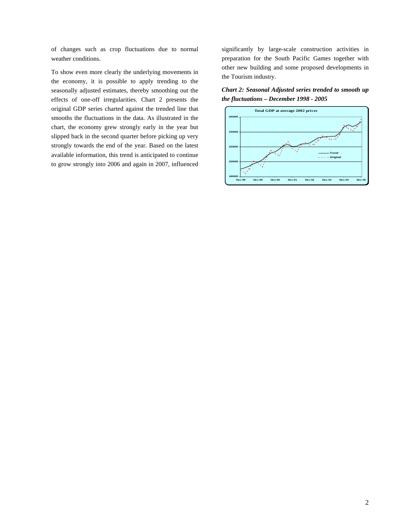of changes such as crop fluctuations due to normal weather conditions.

To show even more clearly the underlying movements in the economy, it is possible to apply trending to the seasonally adjusted estimates, thereby smoothing out the effects of one-off irregularities. Chart 2 presents the original GDP series charted against the trended line that smooths the fluctuations in the data. As illustrated in the chart, the economy grew strongly early in the year but slipped back in the second quarter before picking up very strongly towards the end of the year. Based on the latest available information, this trend is anticipated to continue to grow strongly into 2006 and again in 2007, influenced

significantly by large-scale construction activities in preparation for the South Pacific Games together with other new building and some proposed developments in the Tourism industry.

*Chart 2: Seasonal Adjusted series trended to smooth up the fluctuations – December 1998 - 2005* 

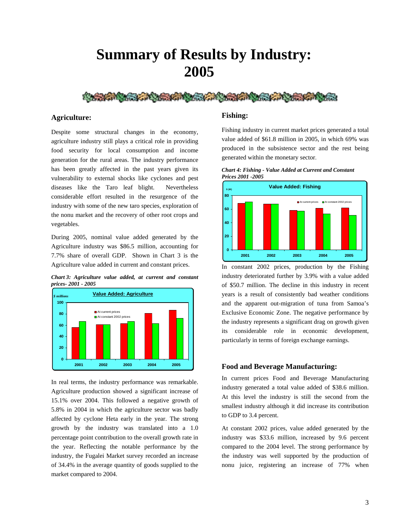# **Summary of Results by Industry: 2005**



#### **Agriculture:**

Despite some structural changes in the economy, agriculture industry still plays a critical role in providing food security for local consumption and income generation for the rural areas. The industry performance has been greatly affected in the past years given its vulnerability to external shocks like cyclones and pest diseases like the Taro leaf blight. Nevertheless considerable effort resulted in the resurgence of the industry with some of the new taro species, exploration of the nonu market and the recovery of other root crops and vegetables.

During 2005, nominal value added generated by the Agriculture industry was \$86.5 million, accounting for 7.7% share of overall GDP. Shown in Chart 3 is the Agriculture value added in current and constant prices.

*Chart 3: Agriculture value added, at current and constant prices- 2001 - 2005* 



In real terms, the industry performance was remarkable. Agriculture production showed a significant increase of 15.1% over 2004. This followed a negative growth of 5.8% in 2004 in which the agriculture sector was badly affected by cyclone Heta early in the year. The strong growth by the industry was translated into a 1.0 percentage point contribution to the overall growth rate in the year. Reflecting the notable performance by the industry, the Fugalei Market survey recorded an increase of 34.4% in the average quantity of goods supplied to the market compared to 2004.

#### **Fishing:**

Fishing industry in current market prices generated a total value added of \$61.8 million in 2005, in which 69% was produced in the subsistence sector and the rest being generated within the monetary sector.





In constant 2002 prices, production by the Fishing industry deteriorated further by 3.9% with a value added of \$50.7 million. The decline in this industry in recent years is a result of consistently bad weather conditions and the apparent out-migration of tuna from Samoa's Exclusive Economic Zone. The negative performance by the industry represents a significant drag on growth given its considerable role in economic development, particularly in terms of foreign exchange earnings.

#### **Food and Beverage Manufacturing:**

In current prices Food and Beverage Manufacturing industry generated a total value added of \$38.6 million. At this level the industry is still the second from the smallest industry although it did increase its contribution to GDP to 3.4 percent.

At constant 2002 prices, value added generated by the industry was \$33.6 million, increased by 9.6 percent compared to the 2004 level. The strong performance by the industry was well supported by the production of nonu juice, registering an increase of 77% when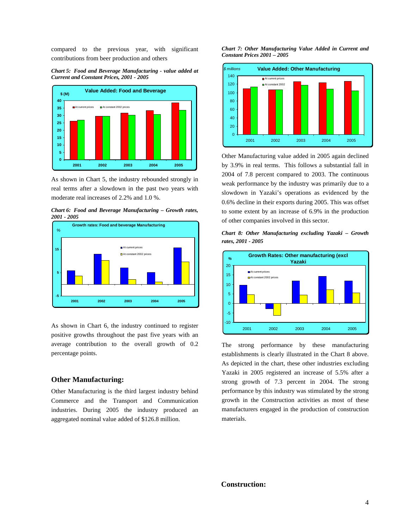compared to the previous year, with significant contributions from beer production and others

*Chart 5: Food and Beverage Manufacturing - value added at Current and Constant Prices, 2001 - 2005* 



As shown in Chart 5, the industry rebounded strongly in real terms after a slowdown in the past two years with moderate real increases of 2.2% and 1.0 %.

*Chart 6: Food and Beverage Manufacturing – Growth rates, 2001 - 2005*



As shown in Chart 6, the industry continued to register positive growths throughout the past five years with an average contribution to the overall growth of 0.2 percentage points.

#### **Other Manufacturing:**

Other Manufacturing is the third largest industry behind Commerce and the Transport and Communication industries. During 2005 the industry produced an aggregated nominal value added of \$126.8 million.

#### *Chart 7: Other Manufacturing Value Added in Current and Constant Prices 2001 – 2005*



Other Manufacturing value added in 2005 again declined by 3.9% in real terms. This follows a substantial fall in 2004 of 7.8 percent compared to 2003. The continuous weak performance by the industry was primarily due to a slowdown in Yazaki's operations as evidenced by the 0.6% decline in their exports during 2005. This was offset to some extent by an increase of 6.9% in the production of other companies involved in this sector.

*Chart 8: Other Manufacturing excluding Yazaki – Growth rates, 2001 - 2005*



The strong performance by these manufacturing establishments is clearly illustrated in the Chart 8 above. As depicted in the chart, these other industries excluding Yazaki in 2005 registered an increase of 5.5% after a strong growth of 7.3 percent in 2004. The strong performance by this industry was stimulated by the strong growth in the Construction activities as most of these manufacturers engaged in the production of construction materials.

# **Construction:**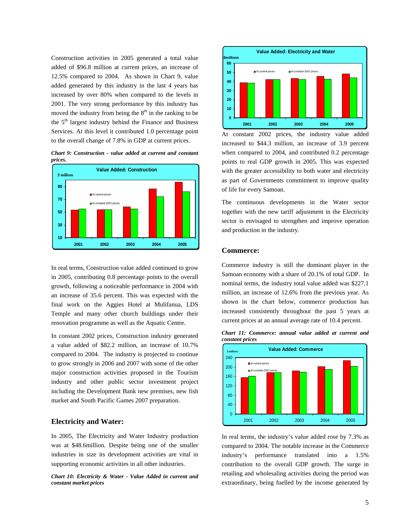Construction activities in 2005 generated a total value added of \$96.8 million at current prices, an increase of 12.5% compared to 2004. As shown in Chart 9, value added generated by this industry in the last 4 years has increased by over 80% when compared to the levels in 2001. The very strong performance by this industry has moved the industry from being the  $8<sup>th</sup>$  in the ranking to be the  $5<sup>th</sup>$  largest industry behind the Finance and Business Services. At this level it contributed 1.0 percentage point to the overall change of 7.8% in GDP at current prices.



*Chart 9: Construction - value added at current and constant prices.* 

In real terms, Construction value added continued to grow in 2005, contributing 0.8 percentage points to the overall growth, following a noticeable performance in 2004 with an increase of 35.6 percent. This was expected with the final work on the Aggies Hotel at Mulifanua, LDS Temple and many other church buildings under their renovation programme as well as the Aquatic Centre.

In constant 2002 prices, Construction industry generated a value added of \$82.2 million, an increase of 10.7% compared to 2004. The industry is projected to continue to grow strongly in 2006 and 2007 with some of the other major construction activities proposed in the Tourism industry and other public sector investment project including the Development Bank new premises, new fish market and South Pacific Games 2007 preparation.

#### **Electricity and Water:**

In 2005, The Electricity and Water Industry production was at \$48.6million. Despite being one of the smaller industries in size its development activities are vital in supporting economic activities in all other industries.

*Chart 10: Electricity & Water - Value Added in current and constant market prices*



At constant 2002 prices, the industry value added increased to \$44.3 million, an increase of 3.9 percent when compared to 2004, and contributed 0.2 percentage points to real GDP growth in 2005. This was expected with the greater accessibility to both water and electricity as part of Governments commitment to improve quality of life for every Samoan.

The continuous developments in the Water sector together with the new tariff adjustment in the Electricity sector is envisaged to strengthen and improve operation and production in the industry.

#### **Commerce:**

Commerce industry is still the dominant player in the Samoan economy with a share of 20.1% of total GDP. In nominal terms, the industry total value added was \$227.1 million, an increase of 12.6% from the previous year. As shown in the chart below, commerce production has increased consistently throughout the past 5 years at current prices at an annual average rate of 10.4 percent.

*Chart 11: Commerce: annual value added at current and constant prices* 



In real terms, the industry's value added rose by 7.3% as compared to 2004. The notable increase in the Commerce industry's performance translated into a 1.5% contribution to the overall GDP growth. The surge in retailing and wholesaling activities during the period was extraordinary, being fuelled by the income generated by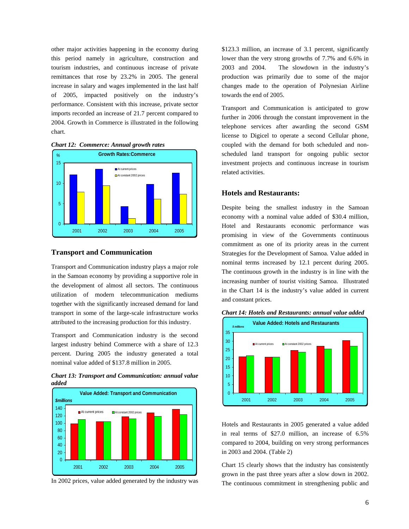other major activities happening in the economy during this period namely in agriculture, construction and tourism industries, and continuous increase of private remittances that rose by 23.2% in 2005. The general increase in salary and wages implemented in the last half of 2005, impacted positively on the industry's performance. Consistent with this increase, private sector imports recorded an increase of 21.7 percent compared to 2004. Growth in Commerce is illustrated in the following chart.

*Chart 12: Commerce: Annual growth rates* 



#### **Transport and Communication**

Transport and Communication industry plays a major role in the Samoan economy by providing a supportive role in the development of almost all sectors. The continuous utilization of modern telecommunication mediums together with the significantly increased demand for land transport in some of the large-scale infrastructure works attributed to the increasing production for this industry.

Transport and Communication industry is the second largest industry behind Commerce with a share of 12.3 percent. During 2005 the industry generated a total nominal value added of \$137.8 million in 2005.





In 2002 prices, value added generated by the industry was

\$123.3 million, an increase of 3.1 percent, significantly lower than the very strong growths of 7.7% and 6.6% in 2003 and 2004. The slowdown in the industry's production was primarily due to some of the major changes made to the operation of Polynesian Airline towards the end of 2005.

Transport and Communication is anticipated to grow further in 2006 through the constant improvement in the telephone services after awarding the second GSM license to Digicel to operate a second Cellular phone, coupled with the demand for both scheduled and nonscheduled land transport for ongoing public sector investment projects and continuous increase in tourism related activities.

# **Hotels and Restaurants:**

Despite being the smallest industry in the Samoan economy with a nominal value added of \$30.4 million, Hotel and Restaurants economic performance was promising in view of the Governments continuous commitment as one of its priority areas in the current Strategies for the Development of Samoa. Value added in nominal terms increased by 12.1 percent during 2005. The continuous growth in the industry is in line with the increasing number of tourist visiting Samoa. Illustrated in the Chart 14 is the industry's value added in current and constant prices.



*Chart 14: Hotels and Restaurants: annual value added* 

Hotels and Restaurants in 2005 generated a value added in real terms of \$27.0 million, an increase of 6.5% compared to 2004, building on very strong performances in 2003 and 2004. (Table 2)

Chart 15 clearly shows that the industry has consistently grown in the past three years after a slow down in 2002. The continuous commitment in strengthening public and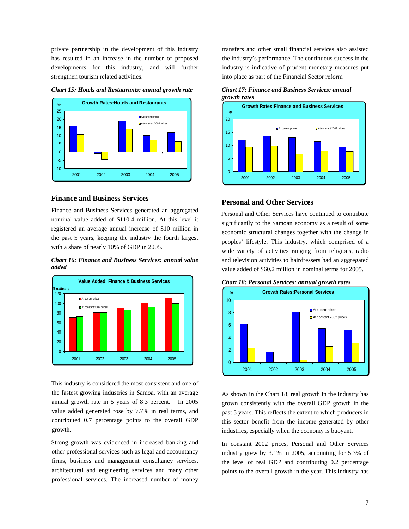private partnership in the development of this industry has resulted in an increase in the number of proposed developments for this industry, and will further strengthen tourism related activities.



*Chart 15: Hotels and Restaurants: annual growth rate* 

#### **Finance and Business Services**

Finance and Business Services generated an aggregated nominal value added of \$110.4 million. At this level it registered an average annual increase of \$10 million in the past 5 years, keeping the industry the fourth largest with a share of nearly 10% of GDP in 2005.





This industry is considered the most consistent and one of the fastest growing industries in Samoa, with an average annual growth rate in 5 years of 8.3 percent. In 2005 value added generated rose by 7.7% in real terms, and contributed 0.7 percentage points to the overall GDP growth.

Strong growth was evidenced in increased banking and other professional services such as legal and accountancy firms, business and management consultancy services, architectural and engineering services and many other professional services. The increased number of money

transfers and other small financial services also assisted the industry's performance. The continuous success in the industry is indicative of prudent monetary measures put into place as part of the Financial Sector reform





## **Personal and Other Services**

Personal and Other Services have continued to contribute significantly to the Samoan economy as a result of some economic structural changes together with the change in peoples' lifestyle. This industry, which comprised of a wide variety of activities ranging from religions, radio and television activities to hairdressers had an aggregated value added of \$60.2 million in nominal terms for 2005.





As shown in the Chart 18, real growth in the industry has grown consistently with the overall GDP growth in the past 5 years. This reflects the extent to which producers in this sector benefit from the income generated by other industries, especially when the economy is buoyant.

In constant 2002 prices, Personal and Other Services industry grew by 3.1% in 2005, accounting for 5.3% of the level of real GDP and contributing 0.2 percentage points to the overall growth in the year. This industry has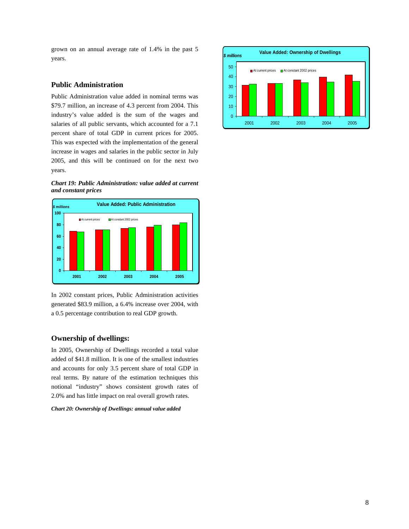grown on an annual average rate of 1.4% in the past 5 years.

## **Public Administration**

Public Administration value added in nominal terms was \$79.7 million, an increase of 4.3 percent from 2004. This industry's value added is the sum of the wages and salaries of all public servants, which accounted for a 7.1 percent share of total GDP in current prices for 2005. This was expected with the implementation of the general increase in wages and salaries in the public sector in July 2005, and this will be continued on for the next two years.





In 2002 constant prices, Public Administration activities generated \$83.9 million, a 6.4% increase over 2004, with a 0.5 percentage contribution to real GDP growth.

#### **Ownership of dwellings:**

In 2005, Ownership of Dwellings recorded a total value added of \$41.8 million. It is one of the smallest industries and accounts for only 3.5 percent share of total GDP in real terms. By nature of the estimation techniques this notional "industry" shows consistent growth rates of 2.0% and has little impact on real overall growth rates.

#### *Chart 20: Ownership of Dwellings: annual value added*

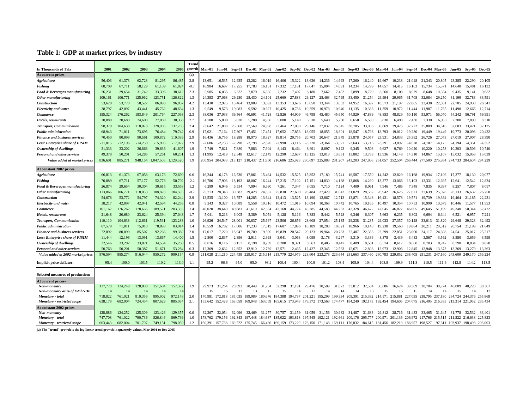# **Table 1: GDP at market prices, by industry**

|                                        |           |           |           |           |           | Treno  |                 |                 |          |                                     |                 |          |                         |          |                                                                       |                 |          |          |                             |                 |                                                                                                                                                         |          |                         |          |          |          |
|----------------------------------------|-----------|-----------|-----------|-----------|-----------|--------|-----------------|-----------------|----------|-------------------------------------|-----------------|----------|-------------------------|----------|-----------------------------------------------------------------------|-----------------|----------|----------|-----------------------------|-----------------|---------------------------------------------------------------------------------------------------------------------------------------------------------|----------|-------------------------|----------|----------|----------|
| In Thousands of Tala                   | 2001      | 2002      | 2003      | 2004      | 2005      | growth |                 |                 |          |                                     |                 |          |                         |          | Mar-01 Jun-01 Sep-01 Dec-01 Mar-02 Jun-02 Sep-02 Dec-02 Mar-03 Jun-03 |                 |          |          | Sep-03 Dec-03 Mar-04 Jun-04 |                 | Sep-04 Dec-04 Mar-05 Jun-05                                                                                                                             |          |                         |          | Sep-05   | Dec-05   |
| At current prices                      |           |           |           |           |           | (a)    |                 |                 |          |                                     |                 |          |                         |          |                                                                       |                 |          |          |                             |                 |                                                                                                                                                         |          |                         |          |          |          |
| <b>Agriculture</b>                     | 56,403    | 61,373    | 62,728    | 81,295    | 86,485    | 2.8    | 13.651          | 16.535          | 12.935   | 13.282                              | 16.019          | 16,406   | 15.322                  | 13.626   | 14.236                                                                | 14,993          | 17.260   | 16.240   | 19.667                      | 19.238          | 21.048                                                                                                                                                  | 21.343   | 20,805                  | 23,285   | 22.290   | 20,105   |
| Fishing                                | 68,709    | 67,711    | 58,129    | 61,109    | 61,82     | $-0.7$ | 16,984          | 16,687          | 17.255   | 17.783                              | 16,151          | 17.332   | 17.181                  | 17.047   | 15,004                                                                | 14.091          | 14.234   | 14.799   | 14.857                      | 14.415          | 16,103                                                                                                                                                  | 15,734   | 15,571                  | 14,640   | 15,481   | 16,132   |
| Food & Beverages manufacturing         | 26.231    | 29,654    | 31.742    | 33,396    | 38,612    | 2.3    | 5.985           | 6.035           | 6.332    | 7.879                               | 6.835           | 7.232    | 7.407                   | 8.180    | 7.662                                                                 | 7.452           | 7.899    | 8.729    | 8.560                       | 8.108           | 8.079                                                                                                                                                   | 8.648    | 10.354                  | 9.435    | 9.141    | 9,682    |
| Other manufacturing                    | 109.161   | 106,771   | 125.962   | 123,751   | 126,822   | 1.3    | 24,383          | 27,068          | 29,280   | 28.430                              | 24.101          | 25,660   | 27,883                  | 29.127   | 28.463                                                                | 32,795          | 33,450   | 31.254   | 29,994                      | 29,965          | 31.708                                                                                                                                                  | 32,084   | 29.250                  | 31.199   | 32.783   | 33.591   |
| <b>Construction</b>                    | 53,628    | 53,770    | 58.527    | 86,093    | 96,837    | 4.2    | 13,430          | 12.925          | 13.464   | 13.809                              | 13,092          | 13.353   | 13.676                  | 13.650   | 13.344                                                                | 13.633          | 14.952   | 16.597   | 18.573                      | 21.197          | 22.885                                                                                                                                                  | 23.438   | 22,861                  | 22,705   | 24,930   | 26.341   |
| <b>Electricity and water</b>           | 38,797    | 42,097    | 43.441    | 45,762    | 48.63     | 1.3    | 9.549           | 9.573           | 10.083   | 9.592                               | 10.627          | 10.425   | 10,786                  | 10.259   | 10.978                                                                | 10.940          | 11.135   | 10.388   | 11.359                      | 10.972          | 11.444                                                                                                                                                  | 11.987   | 11.765                  | 11.490   | 12.665   | 12.714   |
| <b>Commerce</b>                        | 155,324   | 176,262   | 183.849   | 201,764   | 227,093   | 2.3    | 38,036          | 37,033          | 39.564   | 40,691                              | 41,728          | 42,826   | 44.909                  | 46.798   | 45.480                                                                | 45.650          | 44.829   | 47.889   | 48.853                      | 48.829          | 50,110                                                                                                                                                  | 53.971   | 56,070                  | 54,242   | 56.791   | 59,991   |
| Hotels, restaurants                    | 20,880    | 20,680    | 24,600    | 27,080    | 30,350    | 2.7    | 4.780           | 5.000           | 5.820    | 5.280                               | 4.950           | 5.080    | 5.140                   | 5.510    | 5.640                                                                 | 5.780           | 6.650    | 6.530    | 5.830                       | 6.490           | 7.430                                                                                                                                                   | 7.330    | 6.950                   | 7.200    | 7.890    | 8,310    |
| <b>Transport, Communication</b>        | 98.379    | 104,638   | 118,028   | 128,905   | 137,765   | 2.4    | 23,642          | 21,800          | 25.368   | 27.569                              | 24.998          | 23.464   | 27,030                  | 29.146   | 27,832                                                                | 26.345          | 30,785   | 33,066   | 30,869                      | 29.425          | 32.722                                                                                                                                                  | 35.889   | 34,616                  | 32,603   | 33.421   | 37,125   |
| <b>Public administration</b>           | 68,943    | 71,011    | 73,695    | 76,484    | 79,742    | 0.9    | 17.021          | 17.164          | 17.307   | 17.451                              | 17.451          | 17.652   | 17,853                  | 18,055   | 18.055                                                                | 18.301          | 18.547   | 18.793   | 18.793                      | 19.012          | 19.230                                                                                                                                                  | 19.449   | 19.449                  | 19.773   | 20,098   | 20.422   |
| <b>Finance and business services</b>   | 70,450    | 80,099    | 90,561    | 100,872   | 110,389   | 2.9    | 16,436          | 16,756          | 18.288   | 18.970                              | 18,827          | 19.814   | 20,755                  | 20.703   | 20.647                                                                | 21,979          | 23,878   | 24.057   | 23.931                      | 24.833          | 25,382                                                                                                                                                  | 26.726   | 27,073                  | 27,019   | 27,907   | 28,390   |
|                                        |           | $-12,196$ | 14,250    | $-15,903$ |           | 2.9    |                 |                 |          | $-2.798$                            | $-2.870$        | $-2.990$ |                         | $-3.220$ | $-3.364$                                                              | $-3.527$        | $-3.643$ |          | $-3.791$                    | $-3.897$        | $-4.028$                                                                                                                                                | $-4.187$ | $-4.175$                | $-4.194$ | $-4.351$ | $-4,352$ |
| Less: Enterprise share of FISIM        | -11,015   |           |           |           | -17,072   |        | $-2,686$        | $-2,733$        | $-2,798$ |                                     |                 |          | $-3,116$                |          |                                                                       |                 |          | $-3,716$ |                             |                 |                                                                                                                                                         |          |                         |          |          |          |
| Ownership of dwellings                 | 31.333    | 33.202    | 36.868    | 39,636    | 41,80     | 1.9    | 7.749           | 7.821           | 7.880    | 7.883                               | 7.904           | 8.143    | 8.464                   | 8.691    | 8.897                                                                 | 9.123           | 9.345    | 9.503    | 9.627                       | 9.769           | 10.020                                                                                                                                                  | 10.220   | 10.258                  | 10.303   | 10.506   | 10.740   |
| <b>Personal and other services</b>     | 49,378    | 50,201    | 54,285    | 57,261    | 60,23     | 1.3    | 11.995          | 12,419          | 12,348   | 12,617                              | 12,149          | 12.290   | 12,637                  | 13,125   | 13,013                                                                | 13,651          | 13,882   | 13,738   | 13,936                      | 14,148          | 14,310                                                                                                                                                  | 14,867   | 15,107                  | 15,032   | 15,053   | 15,039   |
| Value added at market prices           | 836,601   | 885.271   | 948.164   | 1.047.506 | 1.129.520 | 1.9    |                 | 200.954 204.083 |          | 213, 127 218, 437 211, 960 216, 686 |                 |          | 225,928 230,697         |          | 225.888                                                               | 231,207 243,203 |          |          | 247,866 251,057             | 252,504         | 266,444                                                                                                                                                 | 277.500  | 275.954 274.733 284.604 |          |          | 294.229  |
| At constant 2002 prices                |           |           |           |           |           |        |                 |                 |          |                                     |                 |          |                         |          |                                                                       |                 |          |          |                             |                 |                                                                                                                                                         |          |                         |          |          |          |
| Agriculture                            | 66,813    | 61,373    | 67.058    | 63,173    | 72.69     | 0.6    | 16,244          | 16.178          | 16.530   | 17.861                              | 15.464          | 14.532   | 15.525                  | 15,852   | 17.180                                                                | 15.741          | 16.587   | 17.550   | 14.242                      | 12.829          | 16.168                                                                                                                                                  | 19.934   | 17,106                  | 17.377   | 18.130   | 20,077   |
| <b>Fishing</b>                         | 70,889    | 67,711    | 57,177    | 52,778    | 50,702    | $-2.2$ | 16,786          | 17.903          | 18,192   | 18.007                              | 16,244          | 17,215   | 17,102                  | 17.151   | 14.830                                                                | 14.188          | 13,868   | 14.290   | 13,277                      | 13,066          | 13.103                                                                                                                                                  | 13,331   | 12.695                  | 12.641   | 12.542   | 12,824   |
| Food & Beverages manufacturing         | 26,874    | 29,654    | 30,304    | 30,615    | 33,558    | 1.2    | 6,299           | 6,046           | 6,534    | 7.994                               | 6,990           | 7,261    | 7,347                   | 8,055    | 7,710                                                                 | 7,124           | 7,409    | 8,061    | 7,946                       | 7.486           | 7,348                                                                                                                                                   | 7,835    | 9,397                   | 8,257    | 7,807    | 8,097    |
| Other manufacturing                    | 113,866   | 106.771   | 118,033   | 108.828   | 104,593   | $-0.2$ | 25,713          | 28.343          | 30.382   | 29.428                              | 24,857          | 25,830   | 27,600                  | 28,484   | 27.429                                                                | 31.042          | 31,029   | 28.532   | 26.942                      | 26,626          | 27.621                                                                                                                                                  | 27.639   | 25,078                  | 26.133   | 26.632   | 26,750   |
| Construction                           | 54,678    | 53,772    | 54,797    | 74,320    | 82,24     | 2.9    | 13,535          | 13.100          | 13.757   | 14,285                              | 13.644          | 13.413   | 13.525                  | 13.190   | 12.867                                                                | 12.713          | 13,871   | 15.348   | 16.431                      | 18.578          | 19.571                                                                                                                                                  | 19.739   | 19,364                  | 19,464   | 21,185   | 22.231   |
| <b>Electricity and water</b>           | 38.217    | 42,097    | 42.041    | 42.594    | 44.255    | 0.8    | 9.243           | 9,327           | 10.089   | 9.558                               | 10.516          | 10.472   | 11.015                  | 10,094   | 10.368                                                                | 10.742          | 10.765   | 10.166   | 10.497                      | 10.354          | 10.753                                                                                                                                                  | 10.990   | 10.679                  | 10.446   | 11.577   | 11,553   |
| Commerce                               | 161,162   | 176,262   | 178,666   | 189,521   | 203,355   | 1.4    | 40.020          | 38,640          | 40,883   | 41.619                              | 42.584          | 43.168   | 44.724                  | 45.785   | 44.583                                                                | 44.283          | 43.328   | 46.472   | 47,045                      | 46,827          | 46,005                                                                                                                                                  | 49.645   | 51.199                  | 49.340   | 50,344   | 52,472   |
| Hotels, restaurants                    | 21,648    | 20,680    | 23,624    | 25,394    | 27,04     | 1.7    | 5,041           | 5,213           | 6,005    | 5,389                               | 5,054           | 5,128    | 5,116                   | 5,383    | 5,442                                                                 | 5,528           | 6,346    | 6,307    | 5,663                       | 6,235           | 6,802                                                                                                                                                   | 6,694    | 6,344                   | 6,521    | 6,957    | 7,221    |
|                                        |           |           |           |           |           |        |                 | 24.547          | 28.00    | 30.637                              | 25,667          | 23,506   |                         | 28,608   |                                                                       |                 |          |          | 29.033                      |                 |                                                                                                                                                         |          |                         |          |          |          |
| <b>Transport, Communication</b>        | 110,110   | 104,638   | 112,661   | 119,531   | 123,283   | 1.0    | 26,926          |                 |          | 17.233                              |                 |          | 26,856                  |          | 27,054                                                                | 25,135          | 29,238   | 31,235   |                             | 27,357          | 30,128                                                                                                                                                  | 33,013   | 31,820                  | 29,648   | 29,323   | 32,492   |
| <b>Public administration</b>           | 67,579    | 71,011    | 75,010    | 78,893    | 83,914    | 1.4    | 16,559          | 16,782          | 17,006   |                                     | 17,319          | 17,607   | 17,896                  | 18,189   | 18,280                                                                | 18,621          | 18,966   | 19.143   | 19.238                      | 19.560          | 19.884                                                                                                                                                  | 20.211   | 20,312                  | 20,754   | 21,199   | 21,649   |
| <b>Finance and business services</b>   | 72,892    | 80,099    | 85,507    | 92.266    | 99,382    | 2.0    | 17.017          | 17.220          | 18.947   | 19.709                              | 19.590          | 19.839   | 20.547                  | 20.123   | 19.964                                                                | 20.783          | 22.407   | 22.353   | 22.299                      | 22,851          | 23,000                                                                                                                                                  | 24.117   | 24,608                  | 24,541   | 25.017   | 25,217   |
| <b>Less: Enterprise share of FISIM</b> | $-11,444$ | $-12,196$ | $-13,091$ | $-13,867$ | $-14,400$ | 1.5    | $-2,800$        | $-2,837$        | $-2,896$ | $-2.911$                            | $-2,993$        | $-3,041$ | $-3,063$                | $-3,099$ | $-3,178$                                                              | $-3,267$        | $-3,310$ | $-3,336$ | $-3.378$                    | $-3,439$        | $-3,483$                                                                                                                                                | $-3,567$ | $-3.562$                | $-3,580$ | $-3,659$ | $-3,599$ |
| Ownership of dwellings                 | 32.546    | 33,202    | 33,871    | 34,554    | 35.250    | 0.5    | 8,076           | 8,116           | 8,157    | 8,198                               | 8,239           | 8.280    | 8,321                   | 8.363    | 8.405                                                                 | 8.447           | 8,489    | 8.531    | 8.574                       | 8.617           | 8.660                                                                                                                                                   | 8,703    | 8,747                   | 8.790    | 8.834    | 8,878    |
| Personal and other services            | 50,763    | 50,201    | 50,387    | 51,671    | 53,28     | 0.3    | 12.369          | 12.632          | 12.852   | 12,910                              | 12,739          | 12.571   | 12,465                  | 12,427   | 12,345                                                                | 12,563          | 12,671   | 12.808   | 12.973                      | 12.906          | 12.845                                                                                                                                                  | 12.948   | 13,373                  | 13,269   | 13.279   | 13,363   |
| Value added at 2002 market prices      | 876,594   | 885,274   | 916,044   | 950,272   | 999,154   | 0.9    | 211,028         | 211,210         | 224.439  | 229.917                             | 215,914         | 215,779  | 224.976                 | 228,604  | 223.278                                                               | 223.644         | 231,663  | 237,460  | 230.783                     | 229.852 238.405 |                                                                                                                                                         | 251,231  | 247,160                 | 243,600  | 249,170  | 259,224  |
| Implicit price deflator:               | 95.4      | 100.0     | 103.5     | 110.2     | 113.0     | 1.1    | 95.2            | 96.6            | 95.0     | 95.0                                | 98.2            | 100.4    | 100.4                   | 100.9    | 101.2                                                                 | 103.4           | 105.0    | 104.4    | 108.8                       | 109.9           | 111.8                                                                                                                                                   | 110.5    | 111.6                   | 112.8    | 114.2    | 113.5    |
|                                        |           |           |           |           |           |        |                 |                 |          |                                     |                 |          |                         |          |                                                                       |                 |          |          |                             |                 |                                                                                                                                                         |          |                         |          |          |          |
| Selected measures of production:       |           |           |           |           |           |        |                 |                 |          |                                     |                 |          |                         |          |                                                                       |                 |          |          |                             |                 |                                                                                                                                                         |          |                         |          |          |          |
| At current prices-                     |           |           |           |           |           |        |                 |                 |          |                                     |                 |          |                         |          |                                                                       |                 |          |          |                             |                 |                                                                                                                                                         |          |                         |          |          |          |
| Non-monetary                           | 117,778   | 124,249   | 128,808   | 151,604   | 157,372   | 1.9    | 29.973          | 31.264          | 28,092   | 28,449                              | 31,284          | 32,298   | 31,191                  | 29,476   | 30.589                                                                | 31,873          | 33,812   | 32.534   | 36,886                      | 36,624          | 39,389                                                                                                                                                  | 38,704   | 38,774                  | 40,009   | 40.228   | 38,361   |
| Non-monetary as % of total GDP         | -14       | 14        | 14        | 14        |           |        | 15              | 15              | 13       | 13                                  | 15              | 15       | 14                      | 13       | 14                                                                    | 14              | 14       | 13       | 15                          | 15              | 15                                                                                                                                                      |          | 14                      | 15       | 14       | 13       |
| Monetary - total                       | 718,822   | 761,021   | 819,356   | 895,902   | 972,14    | 2.0    | 170.981         | 172,818         | 185,035  | 189,989                             | 180,676 184,388 |          | 194,737 201,221         |          | 195,299                                                               | 199,334 209,391 |          |          |                             |                 | 215,332 214,171 215,881 227,055 238,795 237,180 234,724 244,376 255,868                                                                                 |          |                         |          |          |          |
| Monetary - restricted scope            | 638,178   | 682,004   | 724,454   | 807,629   | 885,034   | 2.1    | 153.642 152.429 |                 | 163,059  | 169,048                             | 163.069         |          |                         |          | 165,615 173,948 179,372 173,563 174,477 184,240                       |                 |          |          | 192,173 192,454             |                 | 194,605 204,075 216,495 216,333 213,314 221,952 233,434                                                                                                 |          |                         |          |          |          |
| At constant 2002 prices-               |           |           |           |           |           |        |                 |                 |          |                                     |                 |          |                         |          |                                                                       |                 |          |          |                             |                 |                                                                                                                                                         |          |                         |          |          |          |
| Non-monetary                           | 128.886   | 124.252   | 125,309   | 123.426   | 129,355   | 0.0    | 32,267          | 32,054          | 32,096   | 32,469                              | 31,277          | 30,757   | 31,159                  | 31,059   | 31,156                                                                | 30,982          | 31,487   | 31.683   | 29,812                      | 28,716          | 31,433                                                                                                                                                  | 33.465   | 31.645                  | 31,778   | 32.532   | 33,401   |
| Monetary - total                       | 747.708   | 761.022   | 790,736   | 826,846   | 869.79    | 1.0    | 178.762         | 179.156 192.343 |          | 197.448 184,637                     |                 | 185.022  | 193.818 197.545 192.121 |          |                                                                       | 192.661         |          |          |                             |                 | 200.176 205.777 200.971 201.136 206.972 217.766 215.515 211.822 216.638                                                                                 |          |                         |          |          | 225.823  |
| Monetary - restricted scope            | 663,443   | 682,004   | 701,707   | 749,151   | 798,050   | 1.2    | 160.391         |                 |          |                                     |                 |          |                         |          |                                                                       |                 |          |          |                             |                 | 157,786 169,522 175,745 166,466 166,159 173,229 176,150 171,148 169,111 176,832 184,615 181,456 182,210 186,957 198,527 197,611 193,937 198,498 208,003 |          |                         |          |          |          |

**(a) The "trend" growth is the log-linear trend growth in quarterly values, Mar 2001 to Dec 2005**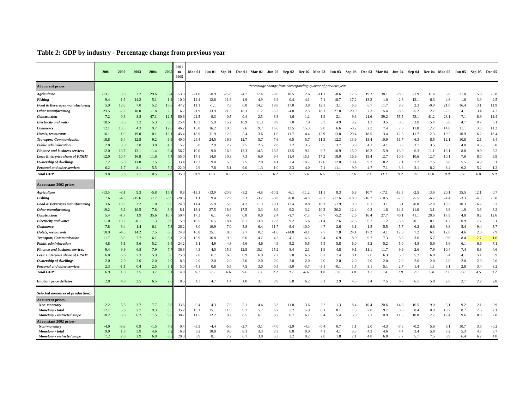# **Table 2: GDP by industry - Percentage change from previous year**

|                                                        | 2001         | 2002       | 2003       | 2004        | 2005       | 2001<br>to<br>2005 | Mar-01       | Jun-01 Sep-01 |             |            | <b>Dec-01 Mar-02</b>                                          | Jun-02     |            |            |            | Sep-02 Dec-02 Mar-03 Jun-03 Sep-03 |            | Dec-03 Mar-04 |             | Jun-04      | Sep-04      | Dec-04       | Mar-05       | Jun-05     | Sep-05     | <b>Dec-05</b> |
|--------------------------------------------------------|--------------|------------|------------|-------------|------------|--------------------|--------------|---------------|-------------|------------|---------------------------------------------------------------|------------|------------|------------|------------|------------------------------------|------------|---------------|-------------|-------------|-------------|--------------|--------------|------------|------------|---------------|
| At current prices                                      |              |            |            |             |            |                    |              |               |             |            | Percentage change from corresponding quarter of previous year |            |            |            |            |                                    |            |               |             |             |             |              |              |            |            |               |
| <b>Agriculture</b>                                     | $-13.7$      | 8.8        | 2.2        | 29.6        | 6.4        | 53.                | $-21.0$      | $-0.9$        | $-25.8$     | $-4.7$     | 17.4                                                          | $-0.8$     | 18.5       | 2.6        | -11.       | $-8.6$                             | 12.6       | 19.2          | 38.1        | 28.3        | 21.9        | 31.4         | 5.8          | 21.0       | 5.9        | $-5.8$        |
| <b>Fishing</b>                                         | 9.4          | $-1.5$     | $-14.2$    | 5.1         | 1.2        | $-10.0$            | 12.4         | 12.6          | 11.8        | 1.9        | -4.9                                                          | 3.9        | $-0.4$     | $-4.1$     | $-7.1$     | $-18.7$                            | $-17.2$    | $-13.2$       | $-1.0$      | 2.3         | 13.1        | 6.3          | 4.8          | 1.6        | $-3.9$     | 2.5           |
| Food & Beverages manufacturing                         | 5.9          | 13.0       | 7.0        | 5.2         | 15.6       | 47.2               | 11.1         | $-1.1$        | 7.3         | 6.8        | 14.2                                                          | 19.8       | 17.0       | 3.8        | 12.1       | 3.1                                | 6.6        | 6.7           | 11.7        | 8.8         | 2.3         | $-0.9$       | 21.0         | 16.4       | 13.1       | 11.9          |
| Other manufacturing                                    | 23.5         | $-2.2$     | 18.0       | $-1.8$      | 2.5        | 16.2               | 21.9         | 33.9          | 21.3        | 18.3       | $-1.2$                                                        | $-5.2$     | $-4.8$     | 2.5        | 18.1       | 27.8                               | 20.0       | 7.3           | 5.4         | $-8.6$      | $-5.2$      | 2.7          | $-2.5$       | 4.1        | 3.4        | 4.7           |
| Construction                                           | 7.2          | 0.3        | 8.8        | 47.1        | 12.5       | 80.6               | 21.5         | 9.3           | 0.5         | 0.4        | $-2.5$                                                        | 3.3        | 1.6        | $-1.2$     | 1.9        | 2.1                                | 9.3        | 21.6          | 39.2        | 55.5        | 53.1        | 41.2         | 23.1         | 7.1        | 8.9        | 12.4          |
| <b>Electricity and water</b>                           | 10.5         | 8.5        | 3.2        | 5.3         | 6.3        | 25.4               | 10.3         | 5.9           | 15.2        | 10.9       | 11.3                                                          | 8.9        | 7.0        | 7.0        | 3.3        | 4.9                                | 3.2        | 1.3           | 3.5         | 0.3         | 2.8         | 15.4         | 3.6          | 4.7        | 10.7       | 6.1           |
| Commerce                                               | 12.1         | 13.5       | 4.3        | 9.7         | 12.6       | 46.2               | 15.0         | 16.2          | 10.5        | 7.6        | 9.7                                                           | 15.6       | 13.5       | 15.0       | 9.0        | 6.6                                | $-0.2$     | 2.3           | 7.4         | 7.0         | 11.8        | 12.7         | 14.8         | 11.1       | 13.3       | 11.2          |
| Hotels, restaurants                                    | 16.1         | $-1.0$     | 19.0       | 10.1        | 12.1       | 45.4               | 18.9         | 31.9          | 12.6        | 5.4        | 3.6                                                           | 1.6        | $-11.7$    | 4.4        | 13.9       | 13.8                               | 29.4       | 18.5          | 3.4         | 12.3        | 11.7        | 12.3         | 19.2         | 10.9       | 6.2        | 13.4          |
| <b>Transport, Communication</b>                        | 18.8         | 6.4        | 12.8       | 9.2         | 6.9        | 40.0               | 24.4         | 24.5          | 16.3        | 12.7       | 5.7                                                           | 7.6        | 6.5        | 5.7        | 11.3       | 12.3                               | 13.9       | 13.4          | 10.9        | 11.7        | 6.3         | 8.5          | 12.1         | 10.8       | 2.1        | 3.4           |
| <b>Public administration</b>                           | 2.8          | 3.0        | 3.8        | 3.8         | 4.3        | 15.7               | 3.0          | 2.9           | 2.7         | 2.5        | 2.5                                                           | 2.8        | 3.2        | 3.5        | 3.5        | 3.7                                | 3.9        | 4.1           | 4.1         | 3.9         | 3.7         | 3.5          | 3.5          | 4.0        | 4.5        | 5.0           |
| <b>Finance and business services</b>                   | 12.0         | 13.7       | 13.1       | 11.4        | 9.4        | 56.                | 10.0         | 9.0           | 16.3        | 12.3       | 14.5                                                          | 18.3       | 13.5       | 9.1        | 9.7        | 10.9                               | 15.0       | 16.2          | 15.9        | 13.0        | 6.3         | 11.1         | 13.1         | $8.8\,$    | 9.9        | 6.2           |
| <b>Less: Enterprise share of FISIM</b>                 | 12.0         | 10.7       | 16.8       | 11.6        | 7.4        | 55.0               | 17.1         | 14.0          | 10.3        | 7.3        | 6.9                                                           | 9.4        | 11.4       | 15.1       | 17.2       | 18.0                               | 16.9       | 15.4          | 12.7        | 10.5        | 10.6        | 12.7         | 10.1         | 7.6        | 8.0        | 3.9           |
| Ownership of dwellings                                 | 7.2          | 6.0        | 11.0       | 7.5         | 5.5        | 33.4               | 12.3         | 9.0           | 5.5         | 2.5        | 2.0                                                           | 4.1        | 7.4        | 10.2       | 12.6       | 12.0                               | 10.4       | 9.3           | 8.2         | 7.1         | 7.2         | 7.5          | 6.6          | 5.5        | 4.9        | 5.1           |
| Personal and other services                            | 6.2          | 1.7        | 8.1        | 5.5         | 5.2        | 22.0               | 2.9          | 7.8           | 5.1         | 9.0        | 1.3                                                           | $-1.0$     | 2.3        | 4.0        | 7.1        | 11.1                               | 9.9        | 4.7           | 7.1         | 3.6         | 3.1         | 8.2          | 8.4          | 6.2        | 5.2        | 1.2           |
| <b>Total GDP</b>                                       | 9.8          | 5.8        | 7.1        | 10.5        | 7.8        | 35.0               | 10.8         | 13.3          | 8.1         | 7.6        | 5.5                                                           | 6.2        | 6.0        | 5.6        | 6.6        | 6.7                                | 7.6        | 7.4           | 11.1        | 9.2         | 9.6         | 12.0         | 9.9          | 8.8        | 6.8        | 6.0           |
| At constant 2002 prices                                |              |            |            |             |            |                    |              |               |             |            |                                                               |            |            |            |            |                                    |            |               |             |             |             |              |              |            |            |               |
| <b>Agriculture</b>                                     | $-13.5$      | $-8.1$     | 9.3        | $-5.8$      | 15.1       | 8.8                | -13.1        | $-13.9$       | $-20.8$     | $-5.2$     | -4.8                                                          | $-10.2$    | $-6.1$     | $-11.2$    | 11.1       | 8.3                                | 6.8        | 10.7          | $-17.1$     | $-18.5$     | $-2.5$      | 13.6         | 20.1         | 35.5       | 12.1       | 0.7           |
| <b>Fishing</b>                                         | 7.6          | $-4.5$     | $-15.6$    | $-7.7$      | $-3.9$     | $-28.5$            | -1.1         | 9.4           | 12.9        | 7.1        | $-3.2$                                                        | $-3.8$     | $-6.0$     | $-4.8$     | $-8.7$     | $-17.6$                            | -18.9      | $-16.7$       | $-10.5$     | $-7.9$      | $-5.5$      | $-6.7$       | $-4.4$       | $-3.3$     | $-4.3$     | $-3.8$        |
| Food & Beverages manufacturing                         | 3.6          | 10.3       | 2.2        | 1.0         | 9.6        | 24.9               | 11.4         | $-5.9$        | 5.6         | 4.2        | 11.0                                                          | 20.1       | 12.4       | 0.8        | 10.3       | $-1.9$                             | 0.8        | 0.1           | 3.1         | 5.1         | $-0.8$      | $-2.8$       | 18.3         | 10.3       | 6.2        | 3.3           |
| Other manufacturing                                    | 19.2         | $-6.2$     | 10.5       | $-7.8$      | $-3.9$     | $-8.1$             | 13.4         | 27.5          | 18.6        | 17.5       | $-3.3$                                                        | $-8.9$     | $-9.2$     | $-3.2$     | 10.3       | 20.2                               | 12.4       | 0.2           | $-1.8$      | $-14.2$     | $-11.0$     | $-3.1$       | $-6.9$       | $-1.9$     | $-3.6$     | $-3.2$        |
| Construction                                           | 5.4          | $-1.7$     | 1.9        | 35.6        | 10.7       | 50.4               | 17.3         | 6.1           | $-0.3$      | 0.8        | 0.8                                                           | 2.4        | $-1.7$     | $-7.7$     | $-5.7$     | $-5.2$                             | 2.6        | 16.4          | 27.7        | 46.1        | 41.1        | 28.6         | 17.9         | 4.8        | 8.2        | 12.6          |
| <b>Electricity and water</b>                           | 11.0         | 10.2       | $-0.1$     | 1.3         | 3.9        | 15.8               | 10.5         | 6.5           | 18.4        | 8.7        | 13.8                                                          | 12.3       | 9.2        | 5.6        | $-1.4$     | 2.6                                | $-2.3$     | 0.7           | 1.2         | $-3.6$      | $-0.1$      | 8.1          | 1.7          | 0.9        | 7.7        | 5.1           |
| <b>Commerce</b>                                        | 7.8          | 9.4        | 1.4        | 6.1         | 7.3        | 26.2               | 8.0          | 10.9          | 7.0         | 5.8        | 6.4                                                           | 11.7       | 9.4        | 10.0       | 4.7        | 2.6                                | $-3.1$     | 1.5           | 5.5         | 5.7         | 6.2         | 6.8          | 8.8          | 5.4        | 9.4        | 5.7           |
| Hotels, restaurants                                    | 10.9         | $-4.5$     | 14.2       | 7.5         | 6.5        | 24.9               | 10.8         | 25.1          | 8.0         | 2.7        | 0.2                                                           | $-1.6$     | -14.8      | $-0.1$     | 7.7        | 7.8                                | 24.1       | 17.2          | 4.1         | 12.8        | 7.2         | 6.1          | 12.0         | 4.6        | 2.3        | 7.9           |
| <b>Transport, Communication</b>                        | 11.7         | $-5.0$     | 7.7        | 6.1         | 3.1        | 12.0               | 15.9         | 16.8          | 9.3         | 6.6        | -4.7                                                          | $-4.2$     | $-4.1$     | $-6.6$     | 5.4        | 6.9                                | 8.9        | 9.2           | 7.3         | 8.8         | 3.0         | 5.7          | 9.6          | 8.4        | $-2.7$     | $-1.6$        |
| <b>Public administration</b>                           | 4.8          | 5.1        | 5.6        | 5.2         | 6.4        | 24.2               | 5.1          | 4.9           | 4.8         | 4.6        | 4.6                                                           | 4.9        | 5.2        | 5.5        | 5.5        | 5.8                                | 6.0        | 5.2           | 5.2         | 5.0         | 4.8         | 5.6          | 5.6          | 6.1        | 6.6        | 7.1           |
| <b>Finance and business services</b>                   | 9.4          | 9.9        | 6.8        | 7.9         | 7.7        | 36.3               | 4.3          | 4.5           | 15.9        | 12.5       | 15.1                                                          | 15.2       | 8.4        | 2.1        | 1.9        | 4.8                                | 9.1        | 11.1          | 11.7        | 9.9         | 2.6         | 7.9          | 10.4         | 7.4        | 8.8        | 4.6           |
| Less: Enterprise share of FISIM                        | 6.8          | 6.6        | 7.3        | 5.9         | 3.8        | 25.8               | 7.0          | 6.7           | 6.6         | 6.9        | 6.9                                                           | 7.2        | 5.8        | 6.5        | 6.2        | 7.4                                | 8.1        | 7.6           | 6.3         | 5.3         | 5.2         | 6.9          | 5.4          | 4.1        | 5.1        | 0.9           |
| Ownership of dwellings                                 | 2.0          | 2.0        | 2.0        | 2.0         | 2.0        | 8.3                | 2.0          | 2.0           | 2.0         | 2.0        | 2.0                                                           | 2.0        | 2.0        | 2.0        | 2.0        | 2.0                                | 2.0        | 2.0           | 2.0         | 2.0         | 2.0         | 2.0          | 2.0          | 2.0        | 2.0        | 2.0           |
| Personal and other services                            | 2.3          | -1.1       | 0.4        | 2.5         | 3.1        | 5.0                | -4.1         | 0.8           | 5.5         | 7.5        | 3.0                                                           | $-0.5$     | $-3.0$     | $-3.7$     | $-3.1$     | $-0.1$                             | 1.7        | 3.1           | 5.1         | 2.7         | 1.4         | 1.1          | 3.1          | 2.8        | 3.4        | 3.2           |
| <b>Total GDP</b>                                       | 6.9          | 1.0        | 3.5        | 3.7         | 5.1        | 14.0               | 6.3          | 8.2           | 6.6         | 6.4        | 2.3                                                           | 2.2        | 0.2        | $-0.6$     | 3.4        | 3.6                                | 3.0        | 3.9           | 3.4         | 2.8         | 2.9         | 5.8          | 7.1          | 6.0        | 4.5        | 3.2           |
| Implicit price deflator:                               | 2.8          | 4.8        | 3.5        | 6.5         | 2.6        | 18.5               | 4.3          | 4.7           | 1.4         | 1.0        | 3.1                                                           | 3.9        | 5.8        | 6.2        | 3.1        | 2.9                                | 4.5        | 3.4           | 7.5         | 6.3         | 6.5         | 5.8          | 2.6          | 2.7        | 2.2        | 2.8           |
| Selected measures of production:                       |              |            |            |             |            |                    |              |               |             |            |                                                               |            |            |            |            |                                    |            |               |             |             |             |              |              |            |            |               |
| At current prices-                                     |              |            |            |             |            |                    |              |               |             |            |                                                               |            |            |            |            |                                    |            |               |             |             |             |              |              |            |            |               |
| Non-monetary                                           | $-2.2$       | 5.5        | 3.7        | 17.7        | 3.8        | 33.6               | $-0.4$       | 4.3           | $-7.6$      | $-5.1$     | 4.4                                                           | 3.3        | 11.0       | 3.6        | $-2.2$     | $-1.3$                             | 8.4        | 10.4          | 20.6        | 14.9        | 16.5        | 19.0         | 5.1          | 9.2        | 2.1        | $-0.9$<br>7.1 |
| Monetary - total<br><b>Monetary - restricted scope</b> | 12.1<br>10.2 | 5.9<br>6.9 | 7.7<br>6.2 | 9.3<br>11.5 | 8.5<br>9.6 | 35.2<br>38.        | 13.1<br>11.5 | 15.1<br>12.2  | 11.0<br>9.2 | 9.7<br>8.5 | 5.7<br>6.1                                                    | 6.7<br>8.7 | 5.2<br>6.7 | 5.9<br>6.1 | 8.1<br>6.4 | 8.1<br>5.4                         | 7.5<br>5.9 | 7.0<br>7.1    | 9.7<br>10.9 | 8.3<br>11.5 | 8.4<br>10.8 | 10.9<br>12.7 | 10.7<br>12.4 | 8.7<br>9.6 | 7.6<br>8.8 | 7.8           |
| At constant 2002 prices-                               |              |            |            |             |            |                    |              |               |             |            |                                                               |            |            |            |            |                                    |            |               |             |             |             |              |              |            |            |               |
| Non-monetary                                           | $-4.0$       | $-3.6$     | 0.9        | -1.5        | 4.8        | 0.4                | $-3.3$       | -4.4          | -5.6        | $-2.7$     | -3.1                                                          | -4.0       | $-2.9$     | -4.3       | -0.4       | 0.7                                | 1.1        | 2.0           | -4.3        | $-7.3$      | $-0.2$      | 5.6          | 6.1          | 10.7       | 3.5        | $-0.2$        |
| Monetary - total                                       | 9.0          | 1.8        | 3.9        | 4.6         | 5.2        | 16.3               | 8.2          | 10.8          | 9.0         | 8.1        | 3.3                                                           | 3.3        | 0.8        | 0.0        | 4.1        | 4.1                                | 3.3        | 4.2           | 4.6         | 4.4         | 3.4         | 5.8          | 7.2          | 5.3        | 4.7        | 3.7           |
| Monetary - restricted scope                            | 7.2          | 2.8        | 2.9        | 6.8         | 6.5        | 20.3               | 6.9          | 8.1           | 7.2         | 6.7        | 3.8                                                           | 5.3        | 2.2        | 0.2        | 2.8        | 1.8                                | 2.1        | 4.8           | 6.0         | 7.7         | 5.7         | 7.5          | 8.9          | 6.4        | 6.2        | 4.8           |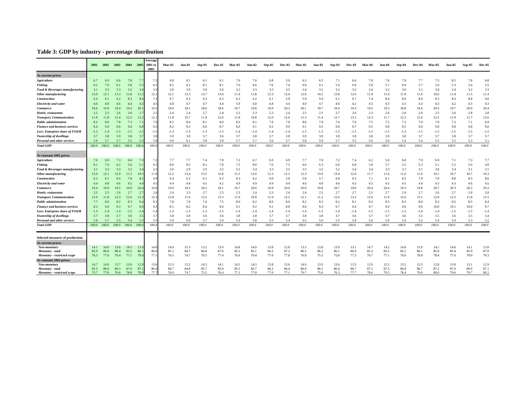# **Table 3: GDP by industry - percentage distribution**

|                                        | 2001         | 2002         | 2003         | 2004         | 2005           | Average<br>2001 to<br>2005 | Mar-01       | Jun-01       | Sep-01       | Dec-01       | Mar-02       | <b>Jun-02</b> | Sep-02       | Dec-02       | Mar-03       | <b>Jun-03</b> | Sep-03       | Dec-03       | Mar-04       | Jun-04       | Sep-04       | Dec-04       | Mar-05       | <b>Jun-05</b> | Sep-05       | <b>Dec-05</b> |
|----------------------------------------|--------------|--------------|--------------|--------------|----------------|----------------------------|--------------|--------------|--------------|--------------|--------------|---------------|--------------|--------------|--------------|---------------|--------------|--------------|--------------|--------------|--------------|--------------|--------------|---------------|--------------|---------------|
| At current prices                      |              |              |              |              |                |                            |              |              |              |              |              |               |              |              |              |               |              |              |              |              |              |              |              |               |              |               |
| <b>Agriculture</b>                     | 6.7          | 6.9          | 6.6          | 7.8          |                | 7.2                        | 6.8          | 8.1          | 6.1          | 6.1          | 7.6          | 7.6           | 6.8          | 5.9          | 6.3          | 6.5           | 7.1          | 6.6          | 7.8          | 7.6          | 7.9          | 7.7          | 7.5          | 8.5           | 7.8          | 6.8           |
| <b>Fishing</b>                         | 8.2          | 7.6          | 6.1          | 5.8          |                | 6.                         | 8.5          | 8.2          | 8.1          | 8.1          | 7.6          | 8.0           | 7.6          | 7.4          | 6.6          | 6.1           | 5.9          | 6.0          | 5.9          | 5.7          | 6.0          | 5.7          | 5.6          | 5.3           | 5.4          | 5.5           |
| Food & Beverages manufacturing         | 3.1          | 3.3          | 3.3          | 3.2          | $\mathcal{R}$  | 3.3                        | 3.0          | 3.0          | 3.0          | 3.6          | 3.2          | 3.3           | 3.3          | 3.5          | 3.4          | 3.2           | 3.2          | 3.5          | 3.4          | 3.2          | 3.0          | 3.1          | 3.8          | 3.4           | 3.2          | 3.3           |
| Other manufacturing                    | 13.0         | 12.1         | 13.3         | 11.8         | 11.            | 12.2                       | 12.1         | 13.3         | 13.7         | 13.0         | 11.4         | 11.8          | 12.3         | 12.6         | 12.6         | 14.2          | 13.8         | 12.6         | 11.9         | 11.9         | 11.9         | 11.6         | 10.6         | 11.4          | 11.5         | 11.4          |
| <b>Construction</b>                    | 6.4          | 6.1          | 6.2          | 8.2          |                | 7.2                        | 6.7          | 6.3          | 6.3          | 6.3          | 6.2          | 6.2           | 6.1          | 5.9          | 5.9          | 5.9           | 6.1          | 6.7          | 7.4          | 8.4          | 8.6          | 8.4          | 8.3          | 8.3           | 8.8          | 9.0           |
| <b>Electricity</b> and water           | 4.6          | 4.8          | 4.6          | 4.4          |                | 4.5                        | 4.8          | 4.7          | 4.7          | 4.4          | 5.0          | 4.8           | 4.8          | 4.4          | 4.9          | 4.7           | 4.6          | 4.2          | 4.5          | 4.3          | 4.3          | 4.3          | 4.3          | 4.2           | 4.5          | 4.3           |
| Commerce                               | 18.6         | 19.9         | 19.4         | 19.3         | 20.            | 19 <sup>4</sup>            | 18.9         | 18.1         | 18.6         | 18.6         | 19.7         | 19.8          | 19.9         | 20.3         | 20.1         | 19.7          | 18.4         | 19.3         | 19.5         | 19.3         | 18.8         | 19.4         | 20.3         | 19.7          | 20.0         | 20.4          |
| Hotels, restaurants                    | 2.5          | 2.3          | 2.6          | 2.6          | $\overline{2}$ | 2.5                        | 2.4          | 2.4          | 2.7          | 2.4          | 2.3          | 2.3           | 2.3          | 2.4          | 2.5          | 2.5           | 2.7          | 2.6          | 2.3          | 2.6          | 2.8          | 2.6          | 2.5          | 2.6           | 2.8          | 2.8           |
| <b>Transport, Communication</b>        | 11.8         | 11.8         | 12.4         | 12.3         | 12.            | 12.1                       | 11.8         | 10.7         | 11.9         | 12.6         | 11.8         | 10.8          | 12.0         | 12.6         | 12.3         | 11.4          | 12.7         | 13.3         | 12.3         | 11.7         | 12.3         | 12.9         | 12.5         | 11.9          | 11.7         | 12.6          |
| <b>Public administration</b>           | 8.2          | 8.0          | 7.8          | 7.3          | 7.1            | 7.6                        | 8.5          | 8.4          | 8.1          | 8.0          | 8.2          | 8.1           | 7.9          | 7.8          | 8.0          | 7.9           | 7.6          | 7.6          | 7.5          | 7.5          | 7.2          | 7.0          | 7.0          | 7.2           | 7.1          | 6.9           |
| <b>Finance and business services</b>   | 8.4          | 9.0          | 9.6          | 9.6          |                | 9.3                        | 8.2          | 8.2          | 8.6          | 8.7          | 8.9          | 9.1           | 9.2          | 9.0          | 9.1          | 9.5           | 9.8          | 9.7          | 9.5          | 9.8          | 9.5          | 9.6          | 9.8          | 9.8           | 9.8          | 9.6           |
| Less: Enterprise share of FISIM        | $-1.3$       | $-1.4$       | $-1.5$       | $-1.5$       | $-1.$          | $-1.5$                     | $-1.3$       | $-1.3$       | $-1.3$       | $-1.3$       | $-1.4$       | $-1.4$        | $-1.4$       | $-1.4$       | $-1.5$       | $-1.5$        | $-1.5$       | $-1.5$       | $-1.5$       | $-1.5$       | $-1.5$       | $-1.5$       | $-1.5$       | $-1.5$        | $-1.5$       | $-1.5$        |
| <b>Ownership of dwellings</b>          | 3.7          | 3.8          | 3.9          | 3.8          | -3.            | 3.8                        | 3.9          | 3.8          | 3.7          | 3.6          | 3.7          | 3.8           | 3.7          | 3.8          | 3.9          | 3.9           | 3.8          | 3.8          | 3.8          | 3.9          | 3.8          | 3.7          | 3.7          | 3.8           | 3.7          | 3.7           |
| <b>Personal and other services</b>     | 5.9          | 5.7          | 5.7          | 5.5          |                |                            | 6.0          | 6.1          | 5.8          | 5.8          | 5.7          | 5.7           | 5.6          | 5.7          | 5.8          | 5.9           | 5.7          | 5.5          | 5.6          | 5.6          | 5.4          | 5.4          | 5.5          | 5.5           | 5.3          | 5.1           |
| <b>Total GDP</b>                       | 100.0        | 100.0        | 100.0        | 100.0        | 100.0          | 100.0                      | 100.0        | 100.0        | 100.0        | 100.0        | 100.0        | 100.0         | 100.0        | 100.0        | 100.0        | 100.0         | 100.0        | 100.0        | 100.0        | 100.0        | 100.0        | 100.0        | 100.0        | 100.0         | 100.0        | 100.0         |
| At constant 2002 prices                |              |              |              |              |                |                            |              |              |              |              |              |               |              |              |              |               |              |              |              |              |              |              |              |               |              |               |
| <b>Agriculture</b>                     | 7.6          | 6.9          | 7.3          | 6.6          |                | 7.2                        | 7.7          | 7.7          | 7.4          | 7.8          | 7.2          | 6.7           | 6.9          | 6.9          | 7.7          | 7.0           | 7.2          | 7.4          | 6.2          | 5.6          | 6.8          | 7.9          | 6.9          | 7.1           | 7.3          | 7.7           |
| <b>Fishing</b>                         | 8.1          | 7.6          | 6.2          | 5.6          | 5.1            | 6.5                        | 8.0          | 8.5          | 8.1          | 7.8          | 7.5          | 8.0           | 7.6          | 7.5          | 6.6          | 6.3           | 6.0          | 6.0          | 5.8          | 5.7          | 5.5          | 5.3          | 5.1          | 5.2           | 5.0          | 4.9           |
| Food & Beverages manufacturing         | 3.1          | 3.3          | 3.3          | 3.2          |                | 3.                         | 3.0          | 2.9          | 2.9          | 3.5          | 3.2          | 3.4           | 3.3          | 3.5          | 3.5          | 3.2           | 3.2          | 3.4          | 3.4          | 3.3          | 3.1          | 3.1          | 3.8          | 3.4           | 3.1          | 3.1           |
| Other manufacturing                    | 13.0         | 12.1         | 12.9         | 11.5         | 10.5           | 11.9                       | 12.2         | 13.4         | 13.5         | 12.8         | 11.5         | 12.0          | 12.3         | 12.5         | 12.3         | 13.9          | 13.4         | 12.0         | 11.7         | 11.6         | 11.6         | 11.0         | 10.1         | 10.7          | 10.7         | 10.3          |
| <b>Construction</b>                    | 6.2          | 6.1          | 6.0          | 7.8          | 8              | 6.9                        | 6.4          | 6.2          | 6.1          | 6.2          | 6.3          | 6.2           | 6.0          | 5.8          | 5.8          | 5.7           | 6.0          | 6.5          | 7.1          | 8.1          | 8.2          | 7.9          | 7.8          | 8.0           | 8.5          | 8.6           |
| <b>Electricity</b> and water           | 4.4          | 4.8          | 4.6          | 4.5          |                | 4.                         | 4.4          | 4.4          | 4.5          | 4.2          | 4.9          | 4.9           | 4.9          | 4.4          | 4.6          | 4.8           | 4.6          | 4.3          | 4.5          | 4.5          | 4.5          | 4.4          | 4.3          | 4.3           | 4.6          | 4.5           |
| <b>Commerce</b>                        | 18.4         | 19.9         | 19.5         | 19.9         | 20.            | 19.6                       | 19.0         | 18.3         | 18.2         | 18.1         | 19.7         | 20.0          | 19.9         | 20.0         | 20.0         | 19.8          | 18.7         | 19.6         | 20.4         | 20.4         | 19.3         | 19.8         | 20.7         | 20.3          | 20.2         | 20.2          |
| Hotels, restaurants                    | 2.5          | 2.3          | 2.6          | 2.7          |                | 2.6                        | 2.4          | 2.5          | 2.7          | 2.3          | 2.3          | 2.4           | 2.3          | 2.4          | 2.4          | 2.5           | 2.7          | 2.7          | 2.5          | 2.7          | 2.9          | 2.7          | 2.6          | 2.7           | 2.8          | 2.8           |
| <b>Transport, Communication</b>        | 12.6         | 11.8         | 12.3         | 12.6         | 12.            | 12.3                       | 12.8         | 11.6         | 12.5         | 13.3         | 11.9         | 10.9          | 11.9         | 12.5         | 12.1         | 11.2          | 12.6         | 13.2         | 12.6         | 11.9         | 12.6         | 13.1         | 12.9         | 12.2          | 11.8         | 12.5          |
| <b>Public</b> administration           | 7.7          | 8.0          | 8.2          | 8.3          | $\mathbf{8}$   | 8.1                        | 7.8          | 7.9          | 7.6          | 7.5          | 8.0          | 8.2           | 8.0          | 8.0          | 8.2          | 8.3           | 8.2          | 8.1          | 8.3          | 8.5          | 8.3          | 8.0          | 8.2          | 8.5           | 8.5          | 8.4           |
| <b>Finance and business services</b>   | 8.3          | 9.0          | 9.3          | 9.7          |                | 9.3                        | 8.1          | 8.2          | 8.4          | 8.6          | 9.1          | 9.2           | 9.1          | 8.8          | 8.9          | 9.3           | 9.7          | 9.4          | 9.7          | 9.9          | 9.6          | 9.6          | 10.0         | 10.1          | 10.0         | 9.7           |
| <b>Less: Enterprise share of FISIM</b> | $-1.3$       | $-1.4$       | $-1.4$       | $-1.5$       | $-1.$          | $-1.4$                     | $-1.3$       | $-1.3$       | $-1.3$       | $-1.3$       | $-1.4$       | $-1.4$        | $-1.4$       | $-1.4$       | $-1.4$       | $-1.5$        | $-1.4$       | $-1.4$       | $-1.5$       | $-1.5$       | $-1.5$       | $-1.4$       | $-1.4$       | $-1.5$        | $-1.5$       | $-1.4$        |
| Ownership of dwellings                 | 3.7          | 3.8          | 3.7          | 3.6          | 3.5            | 3.7                        | 3.8          | 3.8          | 3.6          | 3.6          | 3.8          | 3.8           | 3.7          | 3.7          | 3.8          | 3.8           | 3.7          | 3.6          | 3.7          | 3.7          | 3.6          | 3.5          | 3.5          | 3.6           | 3.5          | 3.4           |
| Personal and other services            | 5.8          | 5.7          | 5.5          | 5.4          |                |                            | 5.9          | 6.0          | 5.7          | 5.6          | 5.9          | 5.8           | 5.5          | 5.4          | 5.5          | 5.6           | 5.5          | 5.4          | 5.6          | 5.6          | 5.4          | 5.2          | 5.4          | 5.4           | 5.3          | 5.2           |
| <b>Total GDP</b>                       | 100.0        | 100.0        | 100.0        | 100.0        | 100.0          | 100.0                      | 100.0        | 100.0        | 100.0        | 100.0        | 100.0        | 100.0         | 100.0        | 100.0        | 100.0        | 100.0         | 100.0        | 100.0        | 100.0        | 100.0        | 100.0        | 100.0        | 100.0        | 100.0         | 100.0        | 100.0         |
| Selected measures of production:       |              |              |              |              |                |                            |              |              |              |              |              |               |              |              |              |               |              |              |              |              |              |              |              |               |              |               |
| At current prices-                     |              |              |              |              |                |                            |              |              |              |              |              |               |              |              |              |               |              |              |              |              |              |              |              |               |              |               |
| Non-monetary                           | 14.1         | 14.0         | 13.6         | 14.5         | 13.            | 14.0                       | 14.9         | 15.3         | 13.2         | 13.0         | 14.8         | 14.9          | 13.8         | 12.8         | 13.5         | 13.8          | 13.9         | 13.1         | 14.7         | 14.5         | 14.8         | 13.9         | 14.1         | 14.6          | 14.1         | 13.0          |
| Monetary - total                       | 85.9<br>76.3 | 86.0<br>77.0 | 86.4<br>76.4 | 85.5<br>77.1 | 86.<br>78.     | 86.0<br>77.1               | 85.1<br>76.5 | 84.7<br>74.7 | 86.8<br>76.5 | 87.0<br>77.4 | 85.2<br>76.9 | 85.1<br>76.4  | 86.2<br>77.0 | 87.2<br>77.8 | 86.5<br>76.8 | 86.2<br>75.5  | 86.1<br>75.8 | 86.9<br>77.5 | 85.3<br>76.7 | 85.5<br>77.1 | 85.2<br>76.6 | 86.1<br>78.0 | 85.9<br>78.4 | 85.4<br>77.6  | 85.9<br>78.0 | 87.0<br>79.3  |
| Monetary - restricted scope            |              |              |              |              |                |                            |              |              |              |              |              |               |              |              |              |               |              |              |              |              |              |              |              |               |              |               |
| At constant 2002 prices-               |              |              |              |              |                | 13.6                       | 15.3         | 15.2         | 14.3         | 14.1         | 14.5         | 14.3          | 13.8         | 13.6         | 14.0         | 13.9          | 13.6         | 13.3         | 12.9         | 12.5         | 13.2         | 13.3         |              | 13.0          | 13.1         |               |
| Non-monetary<br>Monetary - total       | 14.7<br>85.3 | 14.0<br>86.0 | 13.7<br>86.3 | 13.0<br>87.0 | 12.<br>87.     | 86.4                       | 84.7         | 84.8         | 85.7         | 85.9         | 85.5         | 85.7          | 86.2         | 86.4         | 86.0         | 86.1          | 86.4         | 86.7         | 87.1         | 87.5         | 86.8         | 86.7         | 12.8<br>87.2 | 87.0          | 86.9         | 12.9<br>87.1  |
| Monetary - restricted scope            | 75.7         | 77.0         | 76.6         | 78.8         | 79.            | 77                         | 76.0         | 74.7         | 75.5         | 76.4         | 77.1         | 77.0          | 77.0         | 77.1         | 76.7         | 75.6          | 76.3         | 77.7         | 78.6         | 79.3         | 78.4         | 79.0         | 80.0         | 79.6          | 79.7         | 80.2          |